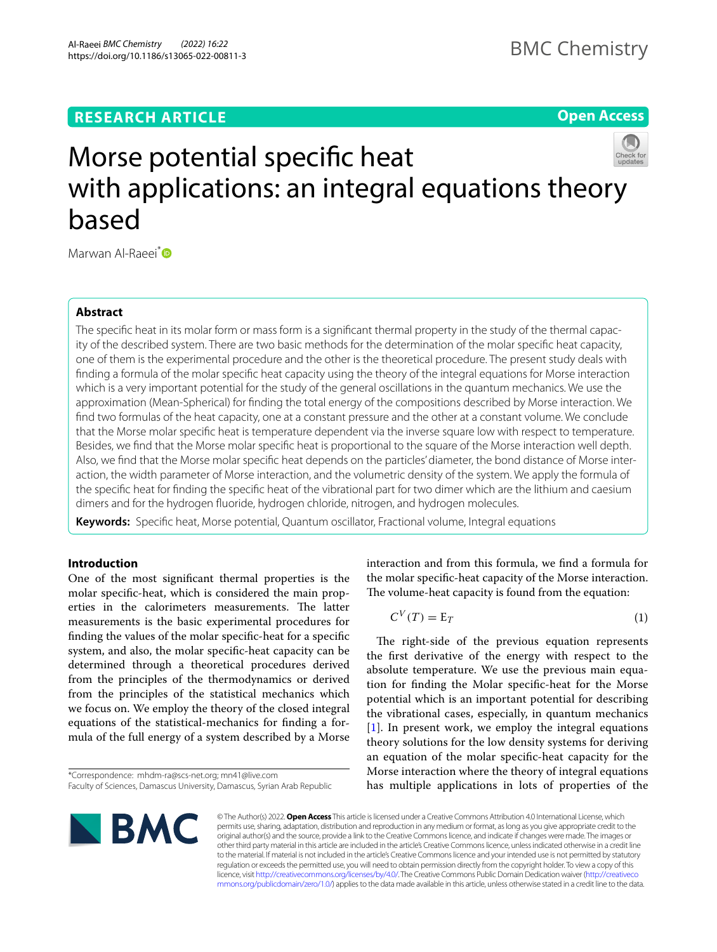# **RESEARCH ARTICLE**

# **Open Access**



# Morse potential specifc heat with applications: an integral equations theory based

Marwan Al-Raeei<sup>[\\*](http://orcid.org/0000-0003-0984-2098)</sup><sup>D</sup>

## **Abstract**

The specific heat in its molar form or mass form is a significant thermal property in the study of the thermal capacity of the described system. There are two basic methods for the determination of the molar specifc heat capacity, one of them is the experimental procedure and the other is the theoretical procedure. The present study deals with fnding a formula of the molar specifc heat capacity using the theory of the integral equations for Morse interaction which is a very important potential for the study of the general oscillations in the quantum mechanics. We use the approximation (Mean-Spherical) for fnding the total energy of the compositions described by Morse interaction. We fnd two formulas of the heat capacity, one at a constant pressure and the other at a constant volume. We conclude that the Morse molar specifc heat is temperature dependent via the inverse square low with respect to temperature. Besides, we fnd that the Morse molar specifc heat is proportional to the square of the Morse interaction well depth. Also, we find that the Morse molar specific heat depends on the particles' diameter, the bond distance of Morse interaction, the width parameter of Morse interaction, and the volumetric density of the system. We apply the formula of the specifc heat for fnding the specifc heat of the vibrational part for two dimer which are the lithium and caesium dimers and for the hydrogen fuoride, hydrogen chloride, nitrogen, and hydrogen molecules.

**Keywords:** Specifc heat, Morse potential, Quantum oscillator, Fractional volume, Integral equations

## **Introduction**

One of the most signifcant thermal properties is the molar specifc-heat, which is considered the main properties in the calorimeters measurements. The latter measurements is the basic experimental procedures for fnding the values of the molar specifc-heat for a specifc system, and also, the molar specifc-heat capacity can be determined through a theoretical procedures derived from the principles of the thermodynamics or derived from the principles of the statistical mechanics which we focus on. We employ the theory of the closed integral equations of the statistical-mechanics for fnding a formula of the full energy of a system described by a Morse

**BMC** 

interaction and from this formula, we fnd a formula for the molar specifc-heat capacity of the Morse interaction. The volume-heat capacity is found from the equation:

$$
C^V(T) = \mathbb{E}_T \tag{1}
$$

The right-side of the previous equation represents the frst derivative of the energy with respect to the absolute temperature. We use the previous main equation for fnding the Molar specifc-heat for the Morse potential which is an important potential for describing the vibrational cases, especially, in quantum mechanics [[1\]](#page-5-0). In present work, we employ the integral equations theory solutions for the low density systems for deriving an equation of the molar specifc-heat capacity for the Morse interaction where the theory of integral equations has multiple applications in lots of properties of the

© The Author(s) 2022. **Open Access** This article is licensed under a Creative Commons Attribution 4.0 International License, which permits use, sharing, adaptation, distribution and reproduction in any medium or format, as long as you give appropriate credit to the original author(s) and the source, provide a link to the Creative Commons licence, and indicate if changes were made. The images or other third party material in this article are included in the article's Creative Commons licence, unless indicated otherwise in a credit line to the material. If material is not included in the article's Creative Commons licence and your intended use is not permitted by statutory regulation or exceeds the permitted use, you will need to obtain permission directly from the copyright holder. To view a copy of this licence, visit [http://creativecommons.org/licenses/by/4.0/.](http://creativecommons.org/licenses/by/4.0/) The Creative Commons Public Domain Dedication waiver ([http://creativeco](http://creativecommons.org/publicdomain/zero/1.0/) [mmons.org/publicdomain/zero/1.0/](http://creativecommons.org/publicdomain/zero/1.0/)) applies to the data made available in this article, unless otherwise stated in a credit line to the data.

<sup>\*</sup>Correspondence: mhdm-ra@scs-net.org; mn41@live.com

Faculty of Sciences, Damascus University, Damascus, Syrian Arab Republic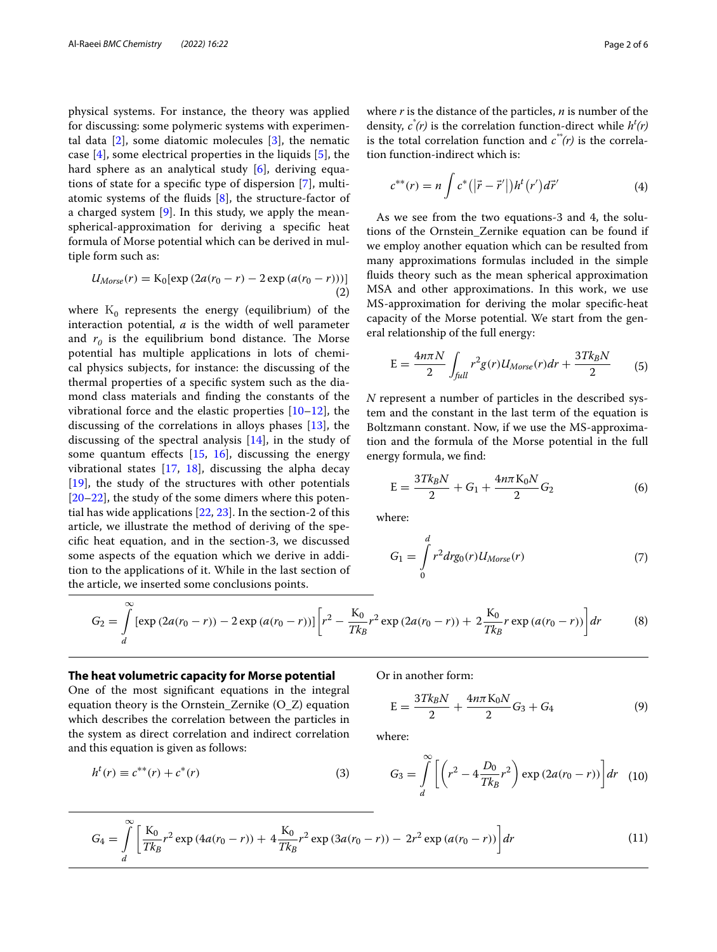physical systems. For instance, the theory was applied for discussing: some polymeric systems with experimental data  $[2]$  $[2]$ , some diatomic molecules  $[3]$  $[3]$ , the nematic case [\[4](#page-5-3)], some electrical properties in the liquids [\[5](#page-5-4)], the hard sphere as an analytical study [[6\]](#page-5-5), deriving equations of state for a specifc type of dispersion [\[7](#page-5-6)], multiatomic systems of the fuids [\[8](#page-5-7)], the structure-factor of a charged system [\[9](#page-5-8)]. In this study, we apply the meanspherical-approximation for deriving a specifc heat formula of Morse potential which can be derived in multiple form such as:

$$
U_{Morse}(r) = K_0[\exp(2a(r_0 - r) - 2\exp(a(r_0 - r)))]
$$
\n(2)

where  $K_0$  represents the energy (equilibrium) of the interaction potential, *a* is the width of well parameter and  $r_0$  is the equilibrium bond distance. The Morse potential has multiple applications in lots of chemical physics subjects, for instance: the discussing of the thermal properties of a specifc system such as the diamond class materials and fnding the constants of the vibrational force and the elastic properties [[10–](#page-5-9)[12\]](#page-5-10), the discussing of the correlations in alloys phases [\[13](#page-5-11)], the discussing of the spectral analysis [[14\]](#page-5-12), in the study of some quantum effects  $[15, 16]$  $[15, 16]$  $[15, 16]$  $[15, 16]$ , discussing the energy vibrational states  $[17, 18]$  $[17, 18]$  $[17, 18]$  $[17, 18]$ , discussing the alpha decay [[19\]](#page-5-17), the study of the structures with other potentials [[20–](#page-5-18)[22\]](#page-5-19), the study of the some dimers where this potential has wide applications [\[22](#page-5-19), [23\]](#page-5-20). In the section-2 of this article, we illustrate the method of deriving of the specifc heat equation, and in the section-3, we discussed some aspects of the equation which we derive in addition to the applications of it. While in the last section of the article, we inserted some conclusions points.

where *r* is the distance of the particles, *n* is number of the density,  $c^*(r)$  is the correlation function-direct while  $h^t(r)$ is the total correlation function and  $c^*(r)$  is the correlation function-indirect which is:

$$
c^{**}(r) = n \int c^* (|\vec{r} - \vec{r}'|) h^t (r') d\vec{r}' \tag{4}
$$

As we see from the two equations-3 and 4, the solutions of the Ornstein\_Zernike equation can be found if we employ another equation which can be resulted from many approximations formulas included in the simple fuids theory such as the mean spherical approximation MSA and other approximations. In this work, we use MS-approximation for deriving the molar specifc-heat capacity of the Morse potential. We start from the general relationship of the full energy:

$$
E = \frac{4n\pi N}{2} \int_{\text{full}} r^2 g(r) U_{Morse}(r) dr + \frac{3Tk_B N}{2} \tag{5}
$$

*N* represent a number of particles in the described system and the constant in the last term of the equation is Boltzmann constant. Now, if we use the MS-approximation and the formula of the Morse potential in the full energy formula, we fnd:

$$
E = \frac{3Tk_BN}{2} + G_1 + \frac{4n\pi K_0N}{2}G_2
$$
 (6)

where:

$$
G_1 = \int_0^d r^2 dr g_0(r) U_{Morse}(r)
$$
\n(7)

$$
G_2 = \int\limits_d^\infty \left[ \exp\left(2a(r_0 - r)\right) - 2\exp\left(a(r_0 - r)\right) \right] \left[ r^2 - \frac{K_0}{Tk_B}r^2 \exp\left(2a(r_0 - r)\right) + 2\frac{K_0}{Tk_B}r \exp\left(a(r_0 - r)\right) \right] dr \tag{8}
$$

### **The heat volumetric capacity for Morse potential**

∞

One of the most signifcant equations in the integral equation theory is the Ornstein\_Zernike (O\_Z) equation which describes the correlation between the particles in the system as direct correlation and indirect correlation and this equation is given as follows:

$$
h^{t}(r) \equiv c^{**}(r) + c^{*}(r)
$$
\n(3)

Or in another form:

$$
E = \frac{3Tk_BN}{2} + \frac{4n\pi K_0N}{2}G_3 + G_4
$$
 (9)

where:

$$
G_3 = \int_{d}^{\infty} \left[ \left( r^2 - 4 \frac{D_0}{T k_B} r^2 \right) \exp \left( 2 a (r_0 - r) \right) \right] dr \quad (10)
$$

$$
G_4 = \int\limits_d^\infty \left[ \frac{K_0}{Tk_B} r^2 \exp\left( 4a(r_0 - r) \right) + 4 \frac{K_0}{Tk_B} r^2 \exp\left( 3a(r_0 - r) \right) - 2r^2 \exp\left( a(r_0 - r) \right) \right] dr \tag{11}
$$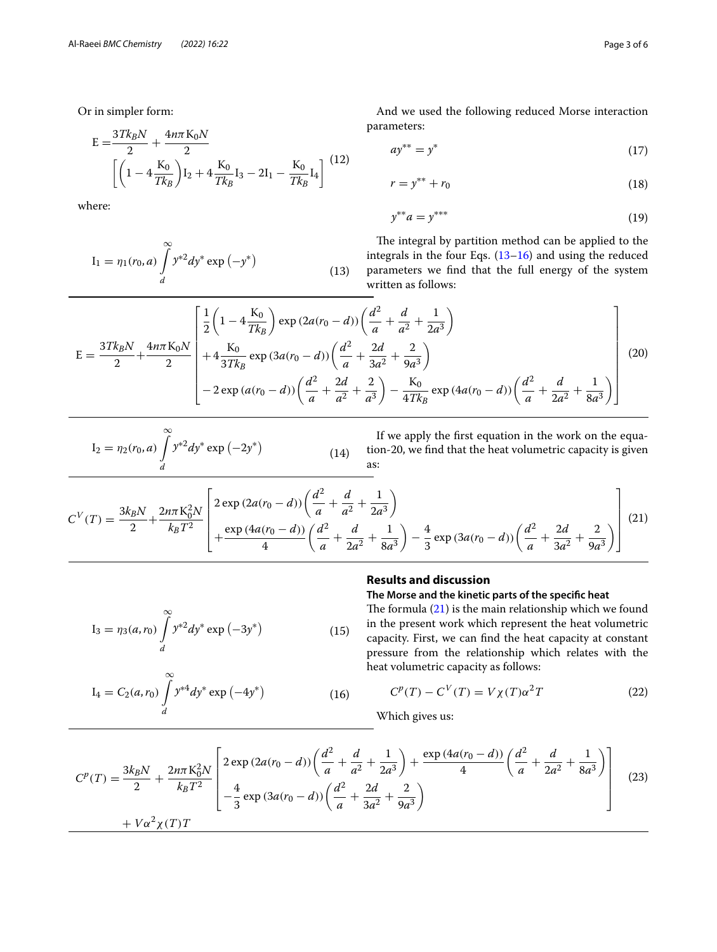Or in simpler form:

$$
E = \frac{3Tk_BN}{2} + \frac{4n\pi K_0N}{2}
$$

$$
\left[ \left( 1 - 4\frac{K_0}{Tk_B} \right) I_2 + 4\frac{K_0}{Tk_B} I_3 - 2I_1 - \frac{K_0}{Tk_B} I_4 \right] \tag{12}
$$

where:

$$
I_1 = \eta_1(r_0, a) \int_{d}^{\infty} y^{*2} dy^* \exp(-y^*)
$$
\n(13)

And we used the following reduced Morse interaction parameters:

$$
a y^{**} = y^* \tag{17}
$$

$$
r = y^{**} + r_0 \tag{18}
$$

$$
y^{**}a = y^{***}
$$
 (19)

<span id="page-2-0"></span>The integral by partition method can be applied to the integrals in the four Eqs. ([13–](#page-2-0)[16\)](#page-2-1) and using the reduced parameters we fnd that the full energy of the system written as follows:

$$
E = \frac{3Tk_BN}{2} + \frac{4n\pi K_0N}{2} \left[ \frac{1}{2} \left( 1 - 4 \frac{K_0}{Tk_B} \right) \exp(2a(r_0 - d)) \left( \frac{d^2}{a} + \frac{d}{a^2} + \frac{1}{2a^3} \right) + 4 \frac{K_0}{3Tk_B} \exp(3a(r_0 - d)) \left( \frac{d^2}{a} + \frac{2d}{3a^2} + \frac{2}{9a^3} \right) - 2 \exp(a(r_0 - d)) \left( \frac{d^2}{a} + \frac{2d}{a^2} + \frac{2}{a^3} \right) - \frac{K_0}{4Tk_B} \exp(4a(r_0 - d)) \left( \frac{d^2}{a} + \frac{d}{2a^2} + \frac{1}{8a^3} \right) \right]
$$
(20)

$$
I_2 = \eta_2(r_0, a) \int_{d}^{\infty} y^{*2} dy^* \exp(-2y^*)
$$
 (14)

If we apply the frst equation in the work on the equation-20, we fnd that the heat volumetric capacity is given as:

$$
C^{V}(T) = \frac{3k_B N}{2} + \frac{2n\pi K_0^2 N}{k_B T^2} \left[ \frac{2 \exp (2a(r_0 - d)) \left(\frac{d^2}{a} + \frac{d}{a^2} + \frac{1}{2a^3}\right)}{4} + \frac{\exp (4a(r_0 - d)) \left(\frac{d^2}{a} + \frac{d}{2a^2} + \frac{1}{8a^3}\right) - \frac{4}{3} \exp (3a(r_0 - d)) \left(\frac{d^2}{a} + \frac{2d}{3a^2} + \frac{2}{9a^3}\right) \right] (21)
$$

## <span id="page-2-2"></span>**Results and discussion**

 $I_3 = \eta_3(a, r_0) \int y^{*2} dy^* \exp(-3y^*)$  (15)  $\int^{\infty}$ d  $y^{*2}dy^* \exp(-3y^*)$ 

$$
I_4 = C_2(a, r_0) \int_{d}^{\infty} y^{*4} dy^* \exp(-4y^*)
$$
 (16)

The formula  $(21)$  $(21)$  is the main relationship which we found in the present work which represent the heat volumetric capacity. First, we can fnd the heat capacity at constant pressure from the relationship which relates with the heat volumetric capacity as follows:

**The Morse and the kinetic parts of the specifc heat**

$$
C^{p}(T) - C^{V}(T) = V\chi(T)\alpha^{2}T
$$
\n(22)

<span id="page-2-1"></span>Which gives us:

$$
C^{p}(T) = \frac{3k_{B}N}{2} + \frac{2n\pi K_{0}^{2}N}{k_{B}T^{2}} \left[ \frac{2\exp(2a(r_{0}-d))\left(\frac{d^{2}}{a} + \frac{d}{a^{2}} + \frac{1}{2a^{3}}\right) + \frac{\exp(4a(r_{0}-d))}{4}\left(\frac{d^{2}}{a} + \frac{d}{2a^{2}} + \frac{1}{8a^{3}}\right) - \frac{4}{3}\exp(3a(r_{0}-d))\left(\frac{d^{2}}{a} + \frac{2d}{3a^{2}} + \frac{2}{9a^{3}}\right) + V\alpha^{2}\chi(T)T \right]
$$
(23)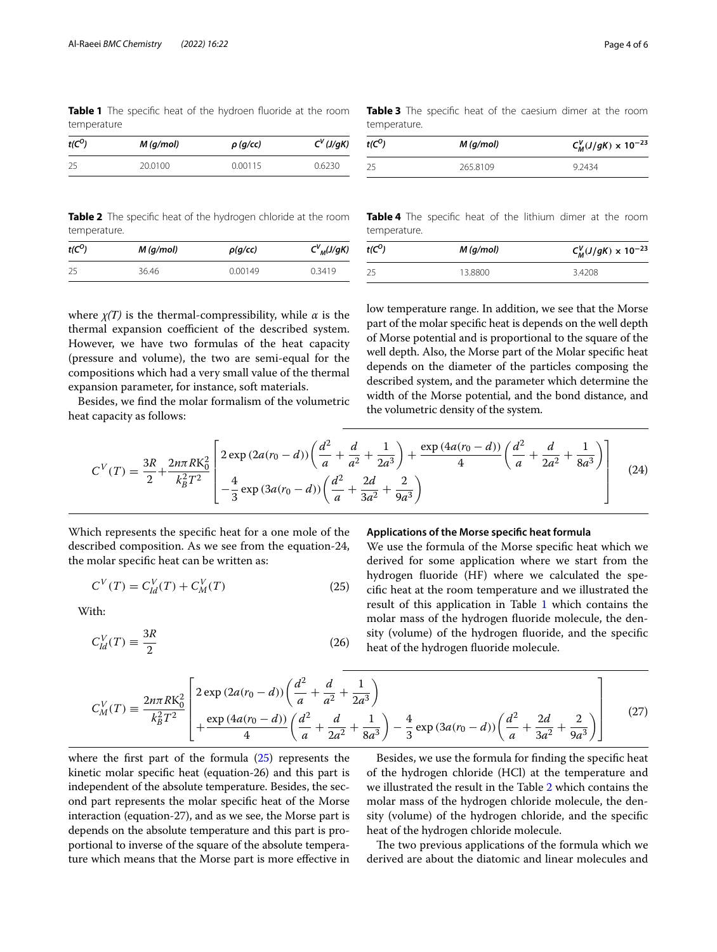<span id="page-3-1"></span>**Table 1** The specifc heat of the hydroen fuoride at the room temperature

| $t(C^O)$ | $M$ (g/mol) | $\rho$ (g/cc) | $C^V(J/gK)$ |
|----------|-------------|---------------|-------------|
| -25      | 20.0100     | 0.00115       | 0.6230      |

<span id="page-3-3"></span>**Table 3** The specifc heat of the caesium dimer at the room temperature.

| t(C <sup>0</sup> ) | $M$ (g/mol) | $C_M^V(J/gK) \times 10^{-23}$ |
|--------------------|-------------|-------------------------------|
| 25                 | 265.8109    | 9 24 34                       |

<span id="page-3-2"></span>**Table 2** The specifc heat of the hydrogen chloride at the room temperature.

| t(C <sup>0</sup> ) | $M$ (g/mol) | $\rho(g/cc)$ | $C_{M}^{V}(J/gK)$ |
|--------------------|-------------|--------------|-------------------|
| -25                | 36.46       | 0.00149      | 0.3419            |

where  $\chi(T)$  is the thermal-compressibility, while  $\alpha$  is the thermal expansion coefficient of the described system. However, we have two formulas of the heat capacity (pressure and volume), the two are semi-equal for the compositions which had a very small value of the thermal expansion parameter, for instance, soft materials.

Besides, we fnd the molar formalism of the volumetric heat capacity as follows:

<span id="page-3-4"></span>**Table 4** The specifc heat of the lithium dimer at the room temperature.

| $t(C^O)$ | $M$ (g/mol) | $C_M^V(J/gK) \times 10^{-23}$ |  |
|----------|-------------|-------------------------------|--|
| -25      | 13.8800     | 3.4208                        |  |
|          |             |                               |  |

low temperature range. In addition, we see that the Morse part of the molar specifc heat is depends on the well depth of Morse potential and is proportional to the square of the well depth. Also, the Morse part of the Molar specifc heat depends on the diameter of the particles composing the described system, and the parameter which determine the width of the Morse potential, and the bond distance, and the volumetric density of the system.

$$
C^{V}(T) = \frac{3R}{2} + \frac{2n\pi R K_0^2}{k_B^2 T^2} \left[ \frac{2 \exp(2a(r_0 - d)) \left(\frac{d^2}{a} + \frac{d}{a^2} + \frac{1}{2a^3}\right) + \frac{\exp(4a(r_0 - d))}{4} \left(\frac{d^2}{a} + \frac{d}{2a^2} + \frac{1}{8a^3}\right) \right]
$$
(24)

Which represents the specifc heat for a one mole of the described composition. As we see from the equation-24, the molar specifc heat can be written as:

$$
C^{V}(T) = C_{Id}^{V}(T) + C_{M}^{V}(T)
$$
\n(25)

With:

$$
C_{ld}^V(T) \equiv \frac{3R}{2} \tag{26}
$$

#### **Applications of the Morse specifc heat formula**

<span id="page-3-0"></span>We use the formula of the Morse specifc heat which we derived for some application where we start from the hydrogen fuoride (HF) where we calculated the specifc heat at the room temperature and we illustrated the result of this application in Table [1](#page-3-1) which contains the molar mass of the hydrogen fuoride molecule, the density (volume) of the hydrogen fuoride, and the specifc heat of the hydrogen fuoride molecule.

$$
C_M^V(T) = \frac{2n\pi R K_0^2}{k_B^2 T^2} \left[ \frac{2 \exp (2a(r_0 - d)) \left(\frac{d^2}{a} + \frac{d}{a^2} + \frac{1}{2a^3}\right)}{4 \left(\frac{d^2}{a} + \frac{d}{2a^2} + \frac{1}{8a^3}\right) - \frac{4}{3} \exp (3a(r_0 - d)) \left(\frac{d^2}{a} + \frac{2d}{3a^2} + \frac{2}{9a^3}\right) \right] \tag{27}
$$

where the first part of the formula  $(25)$  represents the kinetic molar specifc heat (equation-26) and this part is independent of the absolute temperature. Besides, the second part represents the molar specifc heat of the Morse interaction (equation-27), and as we see, the Morse part is depends on the absolute temperature and this part is proportional to inverse of the square of the absolute temperature which means that the Morse part is more efective in

Besides, we use the formula for fnding the specifc heat of the hydrogen chloride (HCl) at the temperature and we illustrated the result in the Table [2](#page-3-2) which contains the molar mass of the hydrogen chloride molecule, the density (volume) of the hydrogen chloride, and the specifc heat of the hydrogen chloride molecule.

The two previous applications of the formula which we derived are about the diatomic and linear molecules and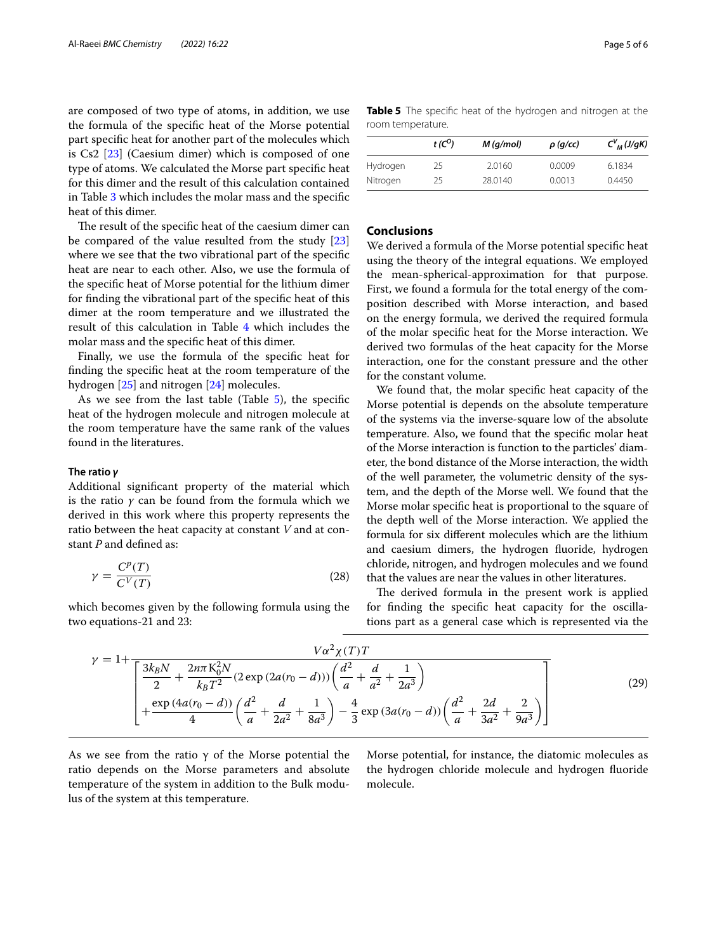are composed of two type of atoms, in addition, we use the formula of the specifc heat of the Morse potential part specifc heat for another part of the molecules which is Cs2 [\[23\]](#page-5-20) (Caesium dimer) which is composed of one type of atoms. We calculated the Morse part specifc heat for this dimer and the result of this calculation contained in Table [3](#page-3-3) which includes the molar mass and the specifc heat of this dimer.

The result of the specific heat of the caesium dimer can be compared of the value resulted from the study [[23](#page-5-20)] where we see that the two vibrational part of the specifc heat are near to each other. Also, we use the formula of the specifc heat of Morse potential for the lithium dimer for fnding the vibrational part of the specifc heat of this dimer at the room temperature and we illustrated the result of this calculation in Table [4](#page-3-4) which includes the molar mass and the specifc heat of this dimer.

Finally, we use the formula of the specifc heat for fnding the specifc heat at the room temperature of the hydrogen [[25\]](#page-5-21) and nitrogen [[24\]](#page-5-22) molecules.

As we see from the last table (Table  $5$ ), the specific heat of the hydrogen molecule and nitrogen molecule at the room temperature have the same rank of the values found in the literatures.

#### **The ratio** *γ*

Additional signifcant property of the material which is the ratio *γ* can be found from the formula which we derived in this work where this property represents the ratio between the heat capacity at constant *V* and at constant *P* and defned as:

$$
\gamma = \frac{C^p(T)}{C^V(T)}\tag{28}
$$

which becomes given by the following formula using the two equations-21 and 23:

<span id="page-4-0"></span>**Table 5** The specifc heat of the hydrogen and nitrogen at the room temperature.

|          | t(C <sup>0</sup> ) | $M$ (g/mol) | $\rho$ (g/cc) | $C_{M}^{V}(J/gK)$ |
|----------|--------------------|-------------|---------------|-------------------|
| Hydrogen | 25                 | 2.0160      | 0.0009        | 6.1834            |
| Nitrogen | 25                 | 28.0140     | 0.0013        | 0.4450            |

## **Conclusions**

We derived a formula of the Morse potential specifc heat using the theory of the integral equations. We employed the mean-spherical-approximation for that purpose. First, we found a formula for the total energy of the composition described with Morse interaction, and based on the energy formula, we derived the required formula of the molar specifc heat for the Morse interaction. We derived two formulas of the heat capacity for the Morse interaction, one for the constant pressure and the other for the constant volume.

We found that, the molar specifc heat capacity of the Morse potential is depends on the absolute temperature of the systems via the inverse-square low of the absolute temperature. Also, we found that the specifc molar heat of the Morse interaction is function to the particles' diameter, the bond distance of the Morse interaction, the width of the well parameter, the volumetric density of the system, and the depth of the Morse well. We found that the Morse molar specifc heat is proportional to the square of the depth well of the Morse interaction. We applied the formula for six diferent molecules which are the lithium and caesium dimers, the hydrogen fuoride, hydrogen chloride, nitrogen, and hydrogen molecules and we found that the values are near the values in other literatures.

The derived formula in the present work is applied for fnding the specifc heat capacity for the oscillations part as a general case which is represented via the

$$
\gamma = 1 + \frac{V\alpha^2 \chi(T)T}{\left[\frac{3k_B N}{2} + \frac{2n\pi K_0^2 N}{k_B T^2} (2 \exp(2a(r_0 - d))) \left(\frac{d^2}{a} + \frac{d}{a^2} + \frac{1}{2a^3}\right) + \frac{\exp(4a(r_0 - d))}{4} \left(\frac{d^2}{a} + \frac{d}{2a^2} + \frac{1}{8a^3}\right) - \frac{4}{3} \exp(3a(r_0 - d)) \left(\frac{d^2}{a} + \frac{2d}{3a^2} + \frac{2}{9a^3}\right) \right] (29)
$$

As we see from the ratio  $\gamma$  of the Morse potential the ratio depends on the Morse parameters and absolute temperature of the system in addition to the Bulk modulus of the system at this temperature.

Morse potential, for instance, the diatomic molecules as the hydrogen chloride molecule and hydrogen fuoride molecule.